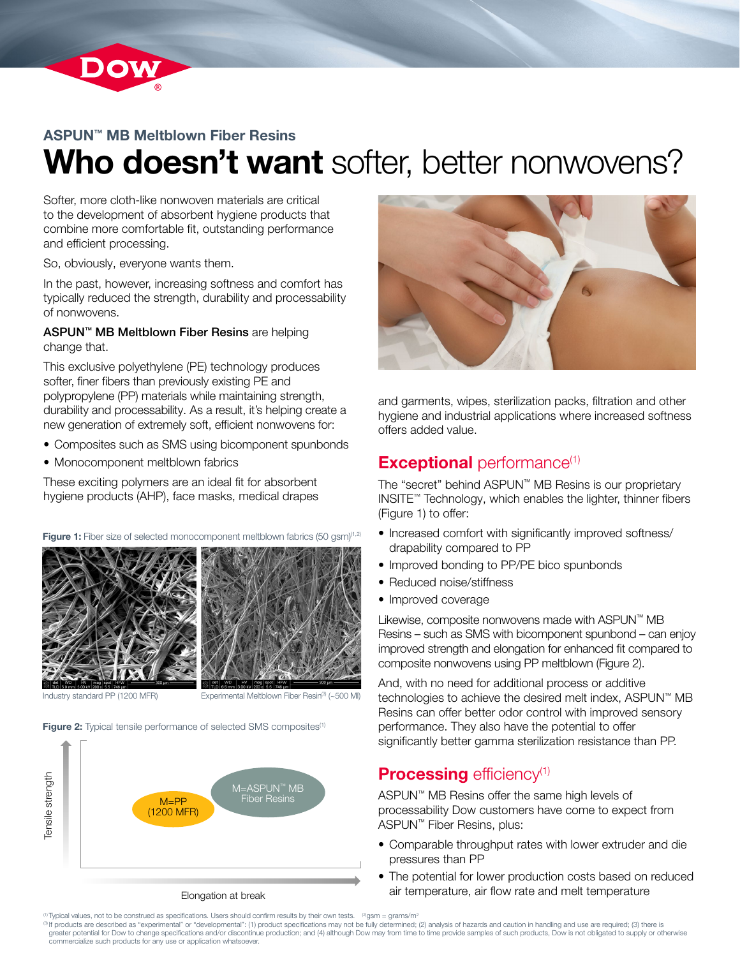

## ASPUN™ MB Meltblown Fiber Resins Who doesn't want softer, better nonwovens?

Softer, more cloth-like nonwoven materials are critical to the development of absorbent hygiene products that combine more comfortable fit, outstanding performance and efficient processing.

So, obviously, everyone wants them.

In the past, however, increasing softness and comfort has typically reduced the strength, durability and processability of nonwovens.

ASPUN™ MB Meltblown Fiber Resins are helping change that.

This exclusive polyethylene (PE) technology produces softer, finer fibers than previously existing PE and polypropylene (PP) materials while maintaining strength, durability and processability. As a result, it's helping create a new generation of extremely soft, efficient nonwovens for:

- Composites such as SMS using bicomponent spunbonds
- Monocomponent meltblown fabrics

These exciting polymers are an ideal fit for absorbent hygiene products (AHP), face masks, medical drapes

Figure 1: Fiber size of selected monocomponent meltblown fabrics (50 gsm)<sup>(1,2)</sup>





Industry standard PP (1200 MFR) Experimental Meltblown Fiber Resin<sup>(3)</sup> (~500 MI)

Figure 2: Typical tensile performance of selected SMS composites<sup>(1)</sup>





and garments, wipes, sterilization packs, filtration and other hygiene and industrial applications where increased softness offers added value.

## **Exceptional** performance<sup>(1)</sup>

The "secret" behind ASPUN™ MB Resins is our proprietary INSITE™ Technology, which enables the lighter, thinner fibers (Figure 1) to offer:

- Increased comfort with significantly improved softness/ drapability compared to PP
- Improved bonding to PP/PE bico spunbonds
- Reduced noise/stiffness
- Improved coverage

Likewise, composite nonwovens made with ASPUN™ MB Resins – such as SMS with bicomponent spunbond – can enjoy improved strength and elongation for enhanced fit compared to composite nonwovens using PP meltblown (Figure 2).

And, with no need for additional process or additive technologies to achieve the desired melt index, ASPUN™ MB Resins can offer better odor control with improved sensory performance. They also have the potential to offer significantly better gamma sterilization resistance than PP.

## **Processing efficiency<sup>(1)</sup>**

ASPUN™ MB Resins offer the same high levels of processability Dow customers have come to expect from ASPUN™ Fiber Resins, plus:

- Comparable throughput rates with lower extruder and die pressures than PP
- The potential for lower production costs based on reduced air temperature, air flow rate and melt temperature

(3) If products are described as "experimental" or "developmental": (1) product specifications may not be fully determined; (2) analysis of hazards and caution in handling and use are required; (3) there is greater potential for Dow to change specifications and/or discontinue production; and (4) although Dow may from time to time provide samples of such products, Dow is not obligated to supply or otherwise<br>commercialize such

Typical values, not to be construed as specifications. Users should confirm results by their own tests.  $\mathcal{P}_{\text{Qsm}} = \text{grams/m}^2$